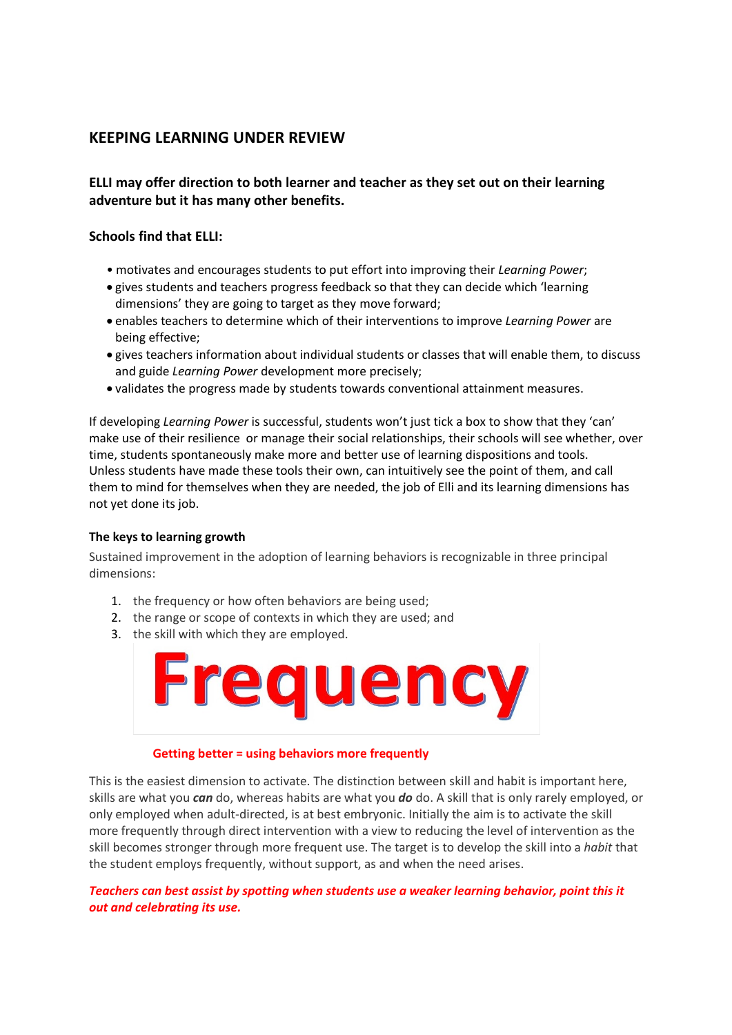# **KEEPING LEARNING UNDER REVIEW**

**ELLI may offer direction to both learner and teacher as they set out on their learning adventure but it has many other benefits.**

# **Schools find that ELLI:**

- motivates and encourages students to put effort into improving their *Learning Power*;
- gives students and teachers progress feedback so that they can decide which 'learning dimensions' they are going to target as they move forward;
- enables teachers to determine which of their interventions to improve *Learning Power* are being effective;
- gives teachers information about individual students or classes that will enable them, to discuss and guide *Learning Power* development more precisely;
- validates the progress made by students towards conventional attainment measures.

If developing *Learning Power* is successful, students won't just tick a box to show that they 'can' make use of their resilience or manage their social relationships, their schools will see whether, over time, students spontaneously make more and better use of learning dispositions and tools. Unless students have made these tools their own, can intuitively see the point of them, and call them to mind for themselves when they are needed, the job of Elli and its learning dimensions has not yet done its job.

### **The keys to learning growth**

Sustained improvement in the adoption of learning behaviors is recognizable in three principal dimensions:

- 1. the frequency or how often behaviors are being used;
- 2. the range or scope of contexts in which they are used; and
- 3. the skill with which they are employed.



### **Getting better = using behaviors more frequently**

This is the easiest dimension to activate. The distinction between skill and habit is important here, skills are what you *can* do, whereas habits are what you *do* do. A skill that is only rarely employed, or only employed when adult-directed, is at best embryonic. Initially the aim is to activate the skill more frequently through direct intervention with a view to reducing the level of intervention as the skill becomes stronger through more frequent use. The target is to develop the skill into a *habit* that the student employs frequently, without support, as and when the need arises.

*Teachers can best assist by spotting when students use a weaker learning behavior, point this it out and celebrating its use.*